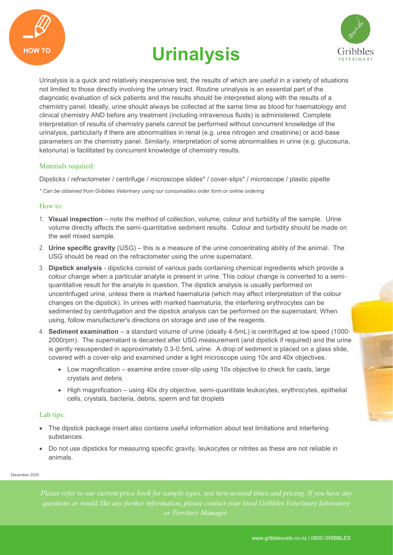





Urinalysis is a quick and relatively inexpensive test, the results of which are useful in a variety of situations not limited to those directly involving the urinary tract. Routine urinalysis is an essential part of the diagnostic evaluation of sick patients and the results should be interpreted along with the results of a chemistry panel. Ideally, urine should always be collected at the same time as blood for haematology and clinical chemistry AND before any treatment (including intravenous fluids) is administered. Complete interpretation of results of chemistry panels cannot be performed without concurrent knowledge of the urinalysis, particularly if there are abnormalities in renal (e.g. urea nitrogen and creatinine) or acid-base parameters on the chemistry panel. Similarly, interpretation of some abnormalities in urine (e.g. glucosuria, ketonuria) is facilitated by concurrent knowledge of chemistry results.

### Materials required:

Dipsticks / refractometer / centrifuge / microscope slides\* / cover-slips\* / microscope / plastic pipette

*\* Can be obtained from Gribbles Veterinary using our consumables order form or online ordering*

#### How to:

- 1. **Visual inspection**  note the method of collection, volume, colour and turbidity of the sample. Urine volume directly affects the semi-quantitative sediment results. Colour and turbidity should be made on the well mixed sample.
- 2. **Urine specific gravity** (USG) this is a measure of the urine concentrating ability of the animal. The USG should be read on the refractometer using the urine supernatant.
- 3. **Dipstick analysis**  dipsticks consist of various pads containing chemical ingredients which provide a colour change when a particular analyte is present in urine. This colour change is converted to a semiquantitative result for the analyte in question. The dipstick analysis is usually performed on uncentrifuged urine, unless there is marked haematuria (which may affect interpretation of the colour changes on the dipstick). In urines with marked haematuria, the interfering erythrocytes can be sedimented by centrifugation and the dipstick analysis can be performed on the supernatant. When using, follow manufacturer's directions on storage and use of the reagents.
- 4. **Sediment examination**  a standard volume of urine (ideally 4-5mL) is centrifuged at low speed (1000- 2000rpm). The supernatant is decanted after USG measurement (and dipstick if required) and the urine is gently resuspended in approximately 0.3-0.5mL urine. A drop of sediment is placed on a glass slide, covered with a cover-slip and examined under a light microscope using 10x and 40x objectives.
	- Low magnification examine entire cover-slip using 10x objective to check for casts, large crystals and debris
	- High magnification using 40x dry objective, semi-quantitate leukocytes, erythrocytes, epithelial cells, crystals, bacteria, debris, sperm and fat droplets

### Lab tips:

- The dipstick package insert also contains useful information about test limitations and interfering substances.
- Do not use dipsticks for measuring specific gravity, leukocytes or nitrites as these are not reliable in animals.

December 2020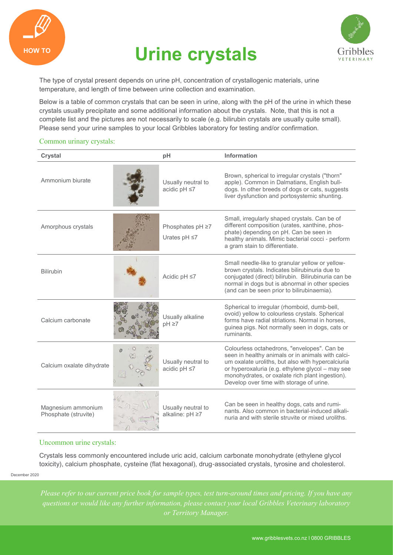

# HOW TO **Urine crystals**



The type of crystal present depends on urine pH, concentration of crystallogenic materials, urine temperature, and length of time between urine collection and examination.

Below is a table of common crystals that can be seen in urine, along with the pH of the urine in which these crystals usually precipitate and some additional information about the crystals. Note, that this is not a complete list and the pictures are not necessarily to scale (e.g. bilirubin crystals are usually quite small). Please send your urine samples to your local Gribbles laboratory for testing and/or confirmation.

#### Common urinary crystals:

| Crystal                                    | pH                                     | Information                                                                                                                                                                                                                                                                                              |
|--------------------------------------------|----------------------------------------|----------------------------------------------------------------------------------------------------------------------------------------------------------------------------------------------------------------------------------------------------------------------------------------------------------|
| Ammonium biurate                           | Usually neutral to<br>acidic pH ≤7     | Brown, spherical to irregular crystals ("thorn"<br>apple). Common in Dalmatians, English bull-<br>dogs. In other breeds of dogs or cats, suggests<br>liver dysfunction and portosystemic shunting.                                                                                                       |
| Amorphous crystals                         | Phosphates pH ≥7<br>Urates $pH \leq 7$ | Small, irregularly shaped crystals. Can be of<br>different composition (urates, xanthine, phos-<br>phate) depending on pH. Can be seen in<br>healthy animals. Mimic bacterial cocci - perform<br>a gram stain to differentiate.                                                                          |
| <b>Bilirubin</b>                           | Acidic pH ≤7                           | Small needle-like to granular yellow or yellow-<br>brown crystals. Indicates bilirubinuria due to<br>conjugated (direct) bilirubin. Bilirubinuria can be<br>normal in dogs but is abnormal in other species<br>(and can be seen prior to bilirubinaemia).                                                |
| Calcium carbonate                          | Usually alkaline<br>$pH \geq 7$        | Spherical to irregular (rhomboid, dumb-bell,<br>ovoid) yellow to colourless crystals. Spherical<br>forms have radial striations. Normal in horses,<br>guinea pigs. Not normally seen in dogs, cats or<br>ruminants.                                                                                      |
| Calcium oxalate dihydrate                  | Usually neutral to<br>acidic pH ≤7     | Colourless octahedrons, "envelopes". Can be<br>seen in healthy animals or in animals with calci-<br>um oxalate uroliths, but also with hypercalciuria<br>or hyperoxaluria (e.g. ethylene glycol - may see<br>monohydrates, or oxalate rich plant ingestion).<br>Develop over time with storage of urine. |
| Magnesium ammonium<br>Phosphate (struvite) | Usually neutral to<br>alkaline: pH ≥7  | Can be seen in healthy dogs, cats and rumi-<br>nants. Also common in bacterial-induced alkali-<br>nuria and with sterile struvite or mixed uroliths.                                                                                                                                                     |

#### Uncommon urine crystals:

Crystals less commonly encountered include uric acid, calcium carbonate monohydrate (ethylene glycol toxicity), calcium phosphate, cysteine (flat hexagonal), drug-associated crystals, tyrosine and cholesterol.

December 2020